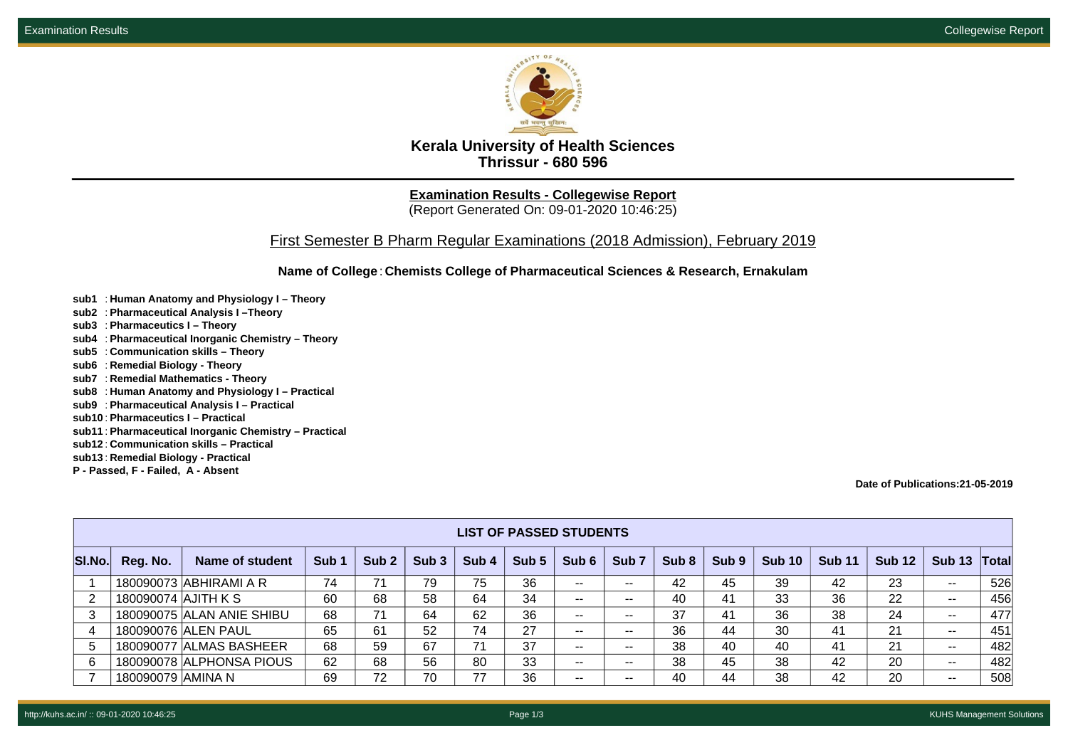

**Kerala University of Health Sciences Thrissur - 680 596**

**Examination Results - Collegewise Report** (Report Generated On: 09-01-2020 10:46:25)

## First Semester B Pharm Regular Examinations (2018 Admission), February 2019

**Name of College**: **Chemists College of Pharmaceutical Sciences & Research, Ernakulam**

- **sub1** : **Human Anatomy and Physiology I Theory**
- **sub2** : **Pharmaceutical Analysis I –Theory**
- **sub3** : **Pharmaceutics I Theory**
- **sub4** : **Pharmaceutical Inorganic Chemistry Theory**
- **sub5** : **Communication skills Theory**
- **sub6** : **Remedial Biology Theory**
- **sub7** : **Remedial Mathematics Theory**
- **sub8** : **Human Anatomy and Physiology I Practical**
- **sub9** : **Pharmaceutical Analysis I Practical**
- **sub10** : **Pharmaceutics I Practical**
- **sub11** : **Pharmaceutical Inorganic Chemistry Practical**
- **sub12** : **Communication skills Practical**
- **sub13** : **Remedial Biology Practical**
- **P Passed, F Failed, A Absent**

**Date of Publications:21-05-2019**

|        | <b>LIST OF PASSED STUDENTS</b> |                           |                  |                  |                  |                  |                  |                          |                          |                  |                  |               |               |               |               |       |
|--------|--------------------------------|---------------------------|------------------|------------------|------------------|------------------|------------------|--------------------------|--------------------------|------------------|------------------|---------------|---------------|---------------|---------------|-------|
| SI.No. | Reg. No.                       | Name of student           | Sub <sub>1</sub> | Sub <sub>2</sub> | Sub <sub>3</sub> | Sub <sub>4</sub> | Sub <sub>5</sub> | Sub 6                    | Sub <sub>7</sub>         | Sub <sub>8</sub> | Sub <sub>9</sub> | <b>Sub 10</b> | <b>Sub 11</b> | <b>Sub 12</b> | <b>Sub 13</b> | Total |
|        |                                | 180090073 ABHIRAMI A R    | 74               | 71               | 79               | 75               | 36               | $- -$                    | $- -$                    | 42               | 45               | 39            | 42            | 23            | $\sim$ $-$    | 526   |
|        | 180090074 AJITH K S            |                           | 60               | 68               | 58               | 64               | 34               | $- -$                    | $- -$                    | 40               | 41               | 33            | 36            | 22            | $\sim$ $-$    | 456   |
|        |                                | 180090075 ALAN ANIE SHIBU | 68               | 71               | 64               | 62               | 36               | $\overline{\phantom{a}}$ | $- -$                    | 37               | 41               | 36            | 38            | 24            | $\sim$ $-$    | 477   |
|        |                                | 180090076 ALEN PAUL       | 65               | 61               | 52               | 74               | 27               | $- -$                    | $- -$                    | 36               | 44               | 30            | 41            | 21            | $\sim$ $-$    | 451   |
| 5      |                                | 180090077 ALMAS BASHEER   | 68               | 59               | 67               | 71               | 37               | $- -$                    | $\overline{\phantom{m}}$ | 38               | 40               | 40            | 41            | 21            | $\sim$ $-$    | 482   |
| 6      |                                | 180090078 ALPHONSA PIOUS  | 62               | 68               | 56               | 80               | 33               | $- -$                    | $- -$                    | 38               | 45               | 38            | 42            | 20            | $\sim$ $-$    | 482   |
|        | 180090079 AMINA N              |                           | 69               | 72               | 70               | 77               | 36               | $- -$                    | $- -$                    | 40               | 44               | 38            | 42            | 20            | $- -$         | 508   |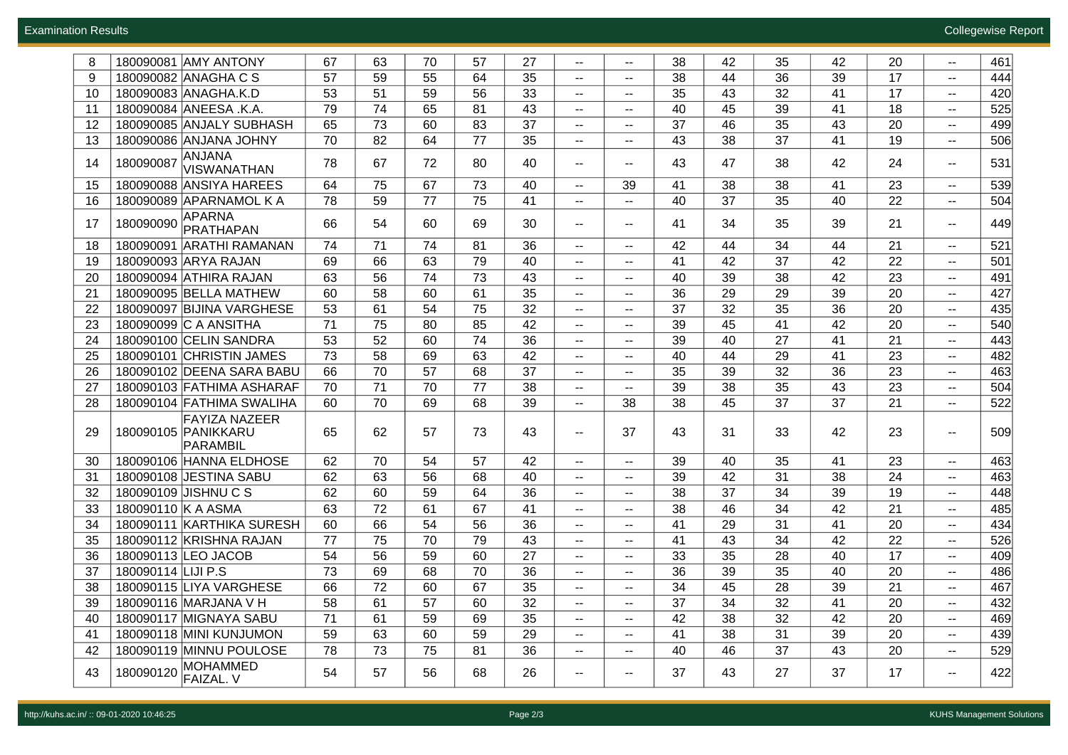| 8  | 180090081 AMY ANTONY                             | 67 | 63 | 70 | 57 | 27 | $\overline{\phantom{m}}$ | $\mathcal{L}_{\mathcal{F}}$                   | 38 | 42 | 35 | 42 | 20 | $\sim$ $-$                                    | 461 |
|----|--------------------------------------------------|----|----|----|----|----|--------------------------|-----------------------------------------------|----|----|----|----|----|-----------------------------------------------|-----|
| 9  | 180090082 ANAGHA C S                             | 57 | 59 | 55 | 64 | 35 | $\mathbf{u}$             | н.                                            | 38 | 44 | 36 | 39 | 17 | $\mathbf{H}$                                  | 444 |
| 10 | 180090083 ANAGHA.K.D                             | 53 | 51 | 59 | 56 | 33 | $\mathbf{u}$             | $\sim$                                        | 35 | 43 | 32 | 41 | 17 | $\sim$                                        | 420 |
| 11 | 180090084 ANEESA .K.A.                           | 79 | 74 | 65 | 81 | 43 | $\mathbf{u}$             | $\overline{\phantom{a}}$                      | 40 | 45 | 39 | 41 | 18 | $\sim$                                        | 525 |
| 12 | 180090085 ANJALY SUBHASH                         | 65 | 73 | 60 | 83 | 37 | $\mathbf{H}=\mathbf{0}$  | --                                            | 37 | 46 | 35 | 43 | 20 | $\sim$ $-$                                    | 499 |
| 13 | 180090086 ANJANA JOHNY                           | 70 | 82 | 64 | 77 | 35 | $\overline{\phantom{m}}$ | $- -$                                         | 43 | 38 | 37 | 41 | 19 | --                                            | 506 |
| 14 | <b>ANJANA</b><br>180090087<br>VISWANATHAN        | 78 | 67 | 72 | 80 | 40 | $\mathbf{H}=\mathbf{0}$  | $\sim$                                        | 43 | 47 | 38 | 42 | 24 | $\sim$ $-$                                    | 531 |
| 15 | 180090088 ANSIYA HAREES                          | 64 | 75 | 67 | 73 | 40 | $\mathbf{u}$             | 39                                            | 41 | 38 | 38 | 41 | 23 | $\mathbf{H}$                                  | 539 |
| 16 | 180090089 APARNAMOL K A                          | 78 | 59 | 77 | 75 | 41 | $\mathbf{H}=\mathbf{0}$  | $\sim$                                        | 40 | 37 | 35 | 40 | 22 | $\sim$ $-$                                    | 504 |
| 17 | APARNA<br>180090090<br>PRATHAPAN                 | 66 | 54 | 60 | 69 | 30 | $\overline{\phantom{m}}$ | $\sim$                                        | 41 | 34 | 35 | 39 | 21 | --                                            | 449 |
| 18 | 180090091 ARATHI RAMANAN                         | 74 | 71 | 74 | 81 | 36 | $\mathbf{u}$             | $\overline{\phantom{a}}$                      | 42 | 44 | 34 | 44 | 21 | $- -$                                         | 521 |
| 19 | 180090093 ARYA RAJAN                             | 69 | 66 | 63 | 79 | 40 | $\mathbf{H}=\mathbf{0}$  | ۰.                                            | 41 | 42 | 37 | 42 | 22 | $\sim$ $-$                                    | 501 |
| 20 | 180090094 ATHIRA RAJAN                           | 63 | 56 | 74 | 73 | 43 | $\overline{\phantom{m}}$ | $\overline{\phantom{a}}$                      | 40 | 39 | 38 | 42 | 23 | --                                            | 491 |
| 21 | 180090095 BELLA MATHEW                           | 60 | 58 | 60 | 61 | 35 | $\overline{\phantom{m}}$ | $- -$                                         | 36 | 29 | 29 | 39 | 20 | $\sim$ $-$                                    | 427 |
| 22 | 180090097 BIJINA VARGHESE                        | 53 | 61 | 54 | 75 | 32 | $\overline{\phantom{a}}$ | $\overline{\phantom{a}}$                      | 37 | 32 | 35 | 36 | 20 | $- -$                                         | 435 |
| 23 | 180090099 C A ANSITHA                            | 71 | 75 | 80 | 85 | 42 | $\overline{\phantom{m}}$ | ۰.                                            | 39 | 45 | 41 | 42 | 20 | --                                            | 540 |
| 24 | 180090100 CELIN SANDRA                           | 53 | 52 | 60 | 74 | 36 | $\overline{\phantom{m}}$ | $- -$                                         | 39 | 40 | 27 | 41 | 21 | --                                            | 443 |
| 25 | 180090101 CHRISTIN JAMES                         | 73 | 58 | 69 | 63 | 42 | $\overline{\phantom{a}}$ | $- -$                                         | 40 | 44 | 29 | 41 | 23 | $\sim$                                        | 482 |
| 26 | 180090102 DEENA SARA BABU                        | 66 | 70 | 57 | 68 | 37 | $\overline{\phantom{m}}$ | $\mathord{\hspace{1pt}\text{--}\hspace{1pt}}$ | 35 | 39 | 32 | 36 | 23 | $\overline{\phantom{a}}$                      | 463 |
| 27 | 180090103 FATHIMA ASHARAF                        | 70 | 71 | 70 | 77 | 38 | $\mathbf{u}$             | $\sim$                                        | 39 | 38 | 35 | 43 | 23 | $\sim$ $-$                                    | 504 |
| 28 | 180090104 FATHIMA SWALIHA                        | 60 | 70 | 69 | 68 | 39 | $\sim$                   | 38                                            | 38 | 45 | 37 | 37 | 21 | $\sim$                                        | 522 |
| 29 | FAYIZA NAZEER<br>180090105 PANIKKARU<br>PARAMBIL | 65 | 62 | 57 | 73 | 43 | $\mathbf{H}=\mathbf{0}$  | 37                                            | 43 | 31 | 33 | 42 | 23 | $\overline{\phantom{a}}$                      | 509 |
| 30 | 180090106 HANNA ELDHOSE                          | 62 | 70 | 54 | 57 | 42 | $\overline{\phantom{m}}$ | $\sim$                                        | 39 | 40 | 35 | 41 | 23 | $\sim$ $-$                                    | 463 |
| 31 | 180090108 JESTINA SABU                           | 62 | 63 | 56 | 68 | 40 | $\overline{\phantom{m}}$ | $- -$                                         | 39 | 42 | 31 | 38 | 24 | --                                            | 463 |
| 32 | 180090109 JISHNU C S                             | 62 | 60 | 59 | 64 | 36 | $\overline{\phantom{m}}$ | $- -$                                         | 38 | 37 | 34 | 39 | 19 | $\sim$                                        | 448 |
| 33 | 180090110 K A ASMA                               | 63 | 72 | 61 | 67 | 41 | $\mathbf{H}=\mathbf{0}$  | $\sim$                                        | 38 | 46 | 34 | 42 | 21 | $\mathord{\hspace{1pt}\text{--}\hspace{1pt}}$ | 485 |
| 34 | 180090111 KARTHIKA SURESH                        | 60 | 66 | 54 | 56 | 36 | $\mathbf{H}=\mathbf{0}$  | $\overline{\phantom{a}}$                      | 41 | 29 | 31 | 41 | 20 | $\sim$ $-$                                    | 434 |
| 35 | 180090112 KRISHNA RAJAN                          | 77 | 75 | 70 | 79 | 43 | $\sim$                   | $\sim$                                        | 41 | 43 | 34 | 42 | 22 | $\sim$                                        | 526 |
| 36 | 180090113 LEO JACOB                              | 54 | 56 | 59 | 60 | 27 | $\mathbf{u}$             | $\sim$                                        | 33 | 35 | 28 | 40 | 17 | $\sim$                                        | 409 |
| 37 | 180090114 LIJI P.S                               | 73 | 69 | 68 | 70 | 36 | $\mathbf{H}=\mathbf{0}$  | $\sim$                                        | 36 | 39 | 35 | 40 | 20 | $\sim$                                        | 486 |
| 38 | 180090115 LIYA VARGHESE                          | 66 | 72 | 60 | 67 | 35 | $\sim$                   | $\sim$                                        | 34 | 45 | 28 | 39 | 21 | $\mathbf{H}$                                  | 467 |
| 39 | 180090116 MARJANA V H                            | 58 | 61 | 57 | 60 | 32 | $\sim$ $-$               | ۰.                                            | 37 | 34 | 32 | 41 | 20 | --                                            | 432 |
| 40 | 180090117 MIGNAYA SABU                           | 71 | 61 | 59 | 69 | 35 |                          |                                               | 42 | 38 | 32 | 42 | 20 |                                               | 469 |
| 41 | 180090118 MINI KUNJUMON                          | 59 | 63 | 60 | 59 | 29 | $\mathbf{H}=\mathbf{0}$  | ۰.                                            | 41 | 38 | 31 | 39 | 20 | --                                            | 439 |
| 42 | 180090119 MINNU POULOSE                          | 78 | 73 | 75 | 81 | 36 | $\sim$                   | --                                            | 40 | 46 | 37 | 43 | 20 | $\sim$ $-$                                    | 529 |
| 43 | MOHAMMED<br>180090120<br>FAIZAL. V               | 54 | 57 | 56 | 68 | 26 | $\mathbf{H}=\mathbf{0}$  | ۰.                                            | 37 | 43 | 27 | 37 | 17 | $\sim$ $-$                                    | 422 |